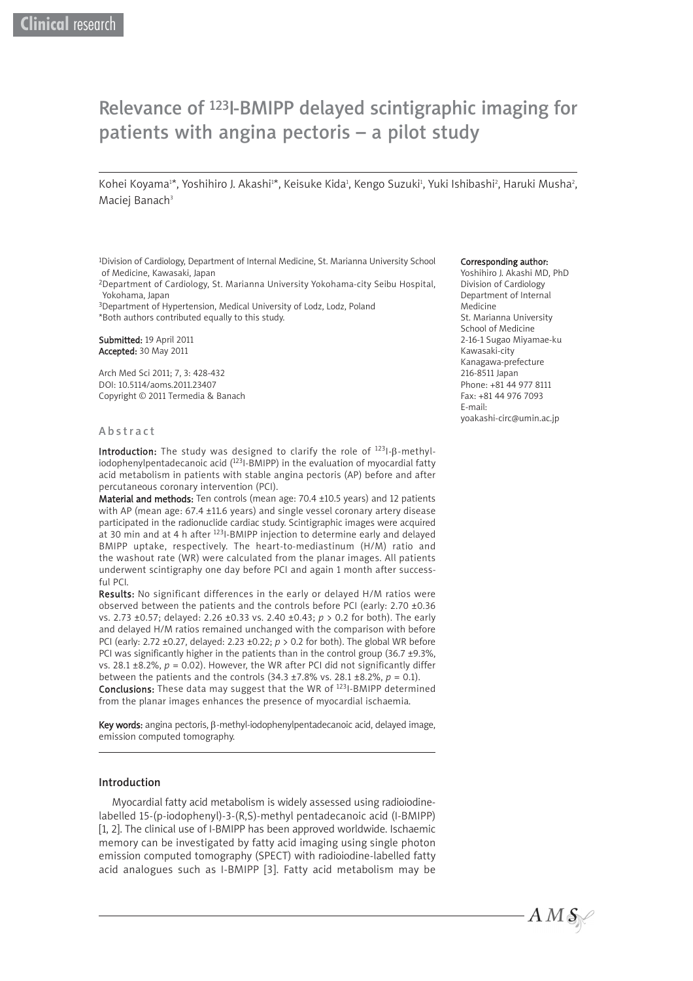# Relevance of 123I-BMIPP delayed scintigraphic imaging for patients with angina pectoris – a pilot study

Kohei Koyama'\*, Yoshihiro J. Akashi'\*, Keisuke Kida', Kengo Suzuki', Yuki Ishibashi', Haruki Musha', Maciej Banach<sup>3</sup>

1Division of Cardiology, Department of Internal Medicine, St. Marianna University School of Medicine, Kawasaki, Japan

2Department of Cardiology, St. Marianna University Yokohama-city Seibu Hospital, Yokohama, Japan

3Department of Hypertension, Medical University of Lodz, Lodz, Poland

\*Both authors contributed equally to this study.

Submitted: 19 April 2011 Accepted: 30 May 2011

Arch Med Sci 2011; 7, 3: 428-432 DOI: 10.5114/aoms.2011.23407 Copyright © 2011 Termedia & Banach

#### Corresponding author:

Yoshihiro J. Akashi MD, PhD Division of Cardiology Department of Internal Medicine St. Marianna University School of Medicine 2-16-1 Sugao Miyamae-ku Kawasaki-city Kanagawa-prefecture 216-8511 Japan Phone: +81 44 977 8111 Fax: +81 44 976 7093 E-mail: yoakashi-circ@umin.ac.jp

#### Abstract

Introduction: The study was designed to clarify the role of  $^{123}$ I- $\beta$ -methyIiodophenylpentadecanoic acid  $(1231-BMIPP)$  in the evaluation of myocardial fatty acid metabolism in patients with stable angina pectoris (AP) before and after percutaneous coronary intervention (PCI).

Material and methods: Ten controls (mean age: 70.4 ±10.5 years) and 12 patients with AP (mean age: 67.4 ±11.6 years) and single vessel coronary artery disease participated in the radionuclide cardiac study. Scintigraphic images were acquired at 30 min and at 4 h after 123I-BMIPP injection to determine early and delayed BMIPP uptake, respectively. The heart-to-mediastinum (H/M) ratio and the washout rate (WR) were calculated from the planar images. All patients underwent scintigraphy one day before PCI and again 1 month after successful PCI.

Results: No significant differences in the early or delayed H/M ratios were observed between the patients and the controls before PCI (early: 2.70 ±0.36 vs. 2.73 ±0.57; delayed: 2.26 ±0.33 vs. 2.40 ±0.43; *p* > 0.2 for both). The early and delayed H/M ratios remained unchanged with the comparison with before PCI (early: 2.72 ±0.27, delayed: 2.23 ±0.22; *p* > 0.2 for both). The global WR before PCI was significantly higher in the patients than in the control group (36.7 ±9.3%, vs. 28.1  $\pm$ 8.2%,  $p = 0.02$ ). However, the WR after PCI did not significantly differ between the patients and the controls (34.3 ±7.8% vs. 28.1 ±8.2%, *p* = 0.1). Conclusions: These data may suggest that the WR of <sup>123</sup>I-BMIPP determined from the planar images enhances the presence of myocardial ischaemia.

Key words: angina pectoris, β-methyl-iodophenylpentadecanoic acid, delayed image, emission computed tomography.

## Introduction

Myocardial fatty acid metabolism is widely assessed using radioiodinelabelled 15-(p-iodophenyl)-3-(R,S)-methyl pentadecanoic acid (I-BMIPP) [1, 2]. The clinical use of I-BMIPP has been approved worldwide. Ischaemic memory can be investigated by fatty acid imaging using single photon emission computed tomography (SPECT) with radioiodine-labelled fatty acid analogues such as I-BMIPP [3]. Fatty acid metabolism may be

 $A\,M\,\mathcal{S}\trianglerighteq$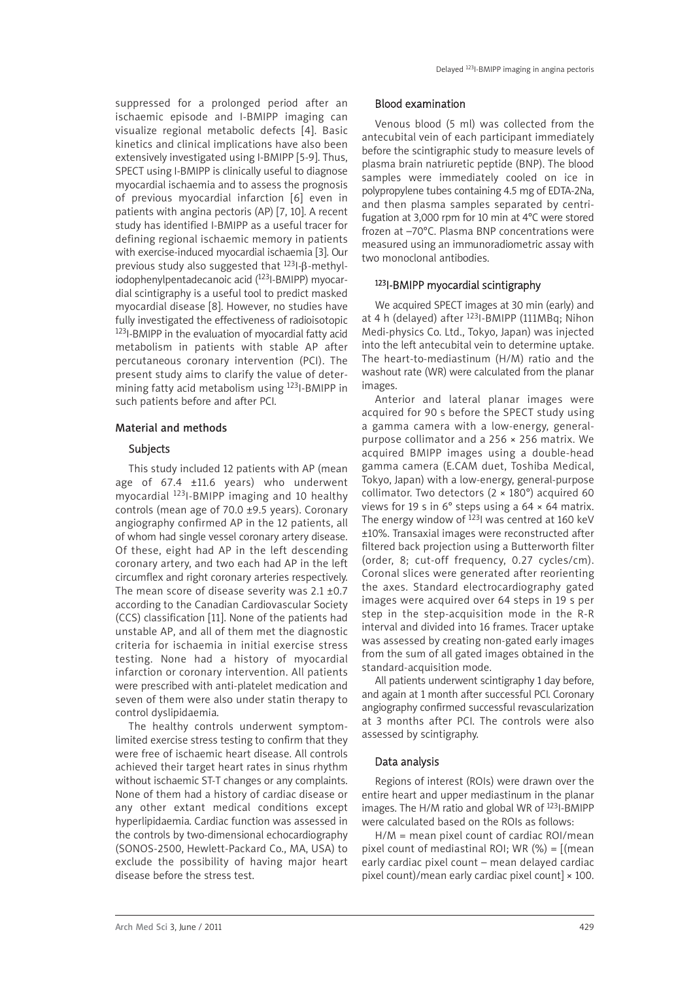suppressed for a prolonged period after an ischaemic episode and I-BMIPP imaging can visualize regional metabolic defects [4]. Basic kinetics and clinical implications have also been extensively investigated using I-BMIPP [5-9]. Thus, SPECT using I-BMIPP is clinically useful to diagnose myocardial ischaemia and to assess the prognosis of previous myocardial infarction [6] even in patients with angina pectoris (AP) [7, 10]. A recent study has identified I-BMIPP as a useful tracer for defining regional ischaemic memory in patients with exercise-induced myocardial ischaemia [3]. Our previous study also suggested that 123I-β-methyliodophenylpentadecanoic acid (123I-BMIPP) myocar dial scintigraphy is a useful tool to predict masked myocardial disease [8]. However, no studies have fully investigated the effectiveness of radioisotopic 123I-BMIPP in the evaluation of myocardial fatty acid metabolism in patients with stable AP after percutaneous coronary intervention (PCI). The present study aims to clarify the value of determining fatty acid metabolism using 123I-BMIPP in such patients before and after PCI.

# Material and methods

# Subjects

This study included 12 patients with AP (mean age of 67.4 ±11.6 years) who underwent myocardial 123I-BMIPP imaging and 10 healthy controls (mean age of 70.0 ±9.5 years). Coronary angiography confirmed AP in the 12 patients, all of whom had single vessel coronary artery disease. Of these, eight had AP in the left descending coronary artery, and two each had AP in the left circumflex and right coronary arteries respectively. The mean score of disease severity was 2.1 ±0.7 according to the Canadian Cardiovascular Society (CCS) classification [11]. None of the patients had unstable AP, and all of them met the diagnostic criteria for ischaemia in initial exercise stress testing. None had a history of myocardial infarction or coronary intervention. All patients were prescribed with anti-platelet medication and seven of them were also under statin therapy to control dyslipidaemia.

The healthy controls underwent symptomlimited exercise stress testing to confirm that they were free of ischaemic heart disease. All controls achieved their target heart rates in sinus rhythm without ischaemic ST-T changes or any complaints. None of them had a history of cardiac disease or any other extant medical conditions except hyperlipidaemia. Cardiac function was assessed in the controls by two-dimensional echocardiography (SONOS-2500, Hewlett-Packard Co., MA, USA) to exclude the possibility of having major heart disease before the stress test.

#### Blood examination

Venous blood (5 ml) was collected from the antecubital vein of each participant immediately before the scintigraphic study to measure levels of plasma brain natriuretic peptide (BNP). The blood samples were immediately cooled on ice in polypropylene tubes containing 4.5 mg of EDTA-2Na, and then plasma samples separated by centrifugation at 3,000 rpm for 10 min at 4°C were stored frozen at –70°C. Plasma BNP concentrations were measured using an immunoradiometric assay with two monoclonal antibodies.

### 123I-BMIPP myocardial scintigraphy

We acquired SPECT images at 30 min (early) and at 4 h (delayed) after 123I-BMIPP (111MBq; Nihon Medi-physics Co. Ltd., Tokyo, Japan) was injected into the left antecubital vein to determine uptake. The heart-to-mediastinum (H/M) ratio and the washout rate (WR) were calculated from the planar images.

Anterior and lateral planar images were acquired for 90 s before the SPECT study using a gamma camera with a low-energy, generalpurpose collimator and a 256 × 256 matrix. We acquired BMIPP images using a double-head gamma camera (E.CAM duet, Toshiba Medical, Tokyo, Japan) with a low-energy, general-purpose collimator. Two detectors (2 × 180°) acquired 60 views for 19 s in 6° steps using a 64 × 64 matrix. The energy window of  $^{123}$ I was centred at 160 keV ±10%. Transaxial images were reconstructed after filtered back projection using a Butterworth filter (order, 8; cut-off frequency, 0.27 cycles/cm). Coronal slices were generated after reorienting the axes. Standard electrocardiography gated images were acquired over 64 steps in 19 s per step in the step-acquisition mode in the R-R interval and divided into 16 frames. Tracer uptake was assessed by creating non-gated early images from the sum of all gated images obtained in the standard-acquisition mode.

All patients underwent scintigraphy 1 day before, and again at 1 month after successful PCI. Coronary angiography confirmed successful revascularization at 3 months after PCI. The controls were also assessed by scintigraphy.

## Data analysis

Regions of interest (ROIs) were drawn over the entire heart and upper mediastinum in the planar images. The H/M ratio and global WR of 123I-BMIPP were calculated based on the ROIs as follows:

H/M = mean pixel count of cardiac ROI/mean pixel count of mediastinal ROI; WR  $(\%) = [$ (mean early cardiac pixel count – mean delayed cardiac pixel count)/mean early cardiac pixel count]  $\times$  100.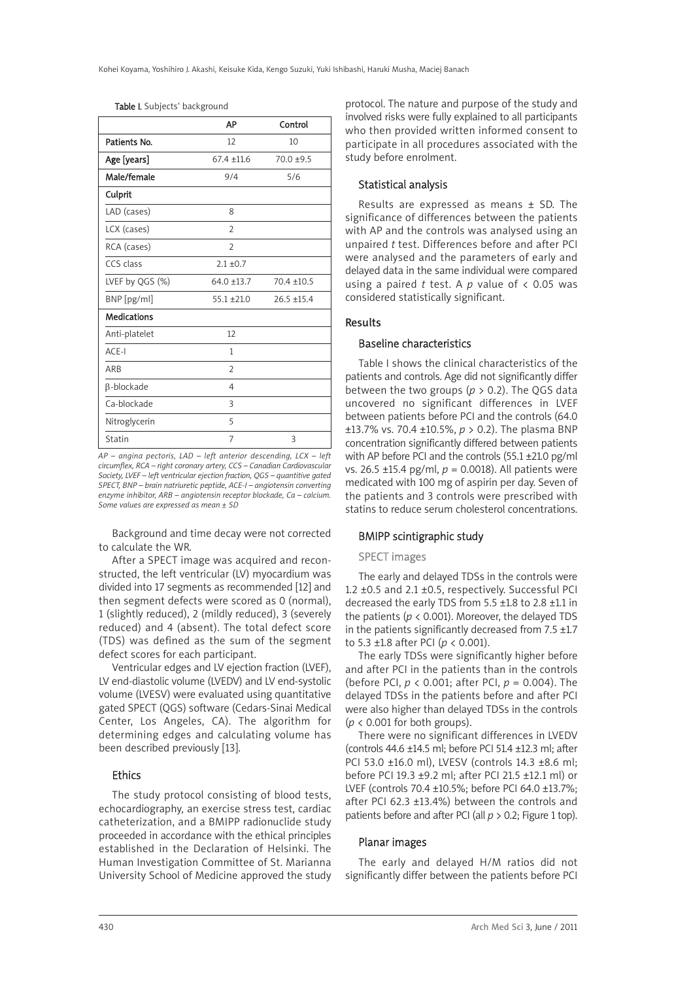| Table I. Subjects' background |  |
|-------------------------------|--|
|-------------------------------|--|

|                    | АP             | Control       |
|--------------------|----------------|---------------|
| Patients No.       | 12             | 10            |
| Age [years]        | $67.4 + 11.6$  | $70.0 + 9.5$  |
| Male/female        | 9/4            | 5/6           |
| Culprit            |                |               |
| LAD (cases)        | 8              |               |
| LCX (cases)        | $\overline{2}$ |               |
| RCA (cases)        | $\overline{2}$ |               |
| CCS class          | $2.1 \pm 0.7$  |               |
| LVEF by QGS (%)    | $64.0 + 13.7$  | $70.4 + 10.5$ |
| BNP [pg/ml]        | $55.1 + 21.0$  | $26.5 + 15.4$ |
| <b>Medications</b> |                |               |
| Anti-platelet      | 12             |               |
| ACE-I              | 1              |               |
| ARB                | $\overline{2}$ |               |
| $\beta$ -blockade  | $\overline{4}$ |               |
| Ca-blockade        | 3              |               |
| Nitroglycerin      | 5              |               |
| Statin             | 7              | 3             |

*AP – angina pectoris, LAD – left anterior descending, LCX – left circumflex, RCA – right coronary artery, CCS – Canadian Cardiovascular Society, LVEF – left ventricular ejection fraction, QGS – quantitive gated SPECT, BNP – brain natriuretic peptide, ACE-I – angiotensin converting enzyme inhibitor, ARB – angiotensin receptor blockade, Ca – calcium. Some values are expressed as mean ± SD*

Background and time decay were not corrected to calculate the WR.

After a SPECT image was acquired and reconstructed, the left ventricular (LV) myocardium was divided into 17 segments as recommended [12] and then segment defects were scored as 0 (normal), 1 (slightly reduced), 2 (mildly reduced), 3 (severely reduced) and 4 (absent). The total defect score (TDS) was defined as the sum of the segment defect scores for each participant.

Ventricular edges and LV ejection fraction (LVEF), LV end-diastolic volume (LVEDV) and LV end-systolic volume (LVESV) were evaluated using quantitative gated SPECT (QGS) software (Cedars-Sinai Medical Center, Los Angeles, CA). The algorithm for determining edges and calculating volume has been described previously [13].

# Ethics

The study protocol consisting of blood tests, echocardiography, an exercise stress test, cardiac catheterization, and a BMIPP radionuclide study proceeded in accordance with the ethical principles established in the Declaration of Helsinki. The Human Investigation Committee of St. Marianna University School of Medicine approved the study

protocol. The nature and purpose of the study and involved risks were fully explained to all participants who then provided written informed consent to participate in all procedures associated with the study before enrolment.

### Statistical analysis

Results are expressed as means ± SD. The significance of differences between the patients with AP and the controls was analysed using an unpaired *t* test. Differences before and after PCI were analysed and the parameters of early and delayed data in the same individual were compared using a paired *t* test. A *p* value of < 0.05 was considered statistically significant.

#### Results

# Baseline characteristics

Table I shows the clinical characteristics of the patients and controls. Age did not significantly differ between the two groups ( $p > 0.2$ ). The QGS data uncovered no significant differences in LVEF between patients before PCI and the controls (64.0 ±13.7% vs. 70.4 ±10.5%, *p* > 0.2). The plasma BNP concentration significantly differed between patients with AP before PCI and the controls (55.1 ±21.0 pg/ml vs. 26.5 ±15.4 pg/ml, *p* = 0.0018). All patients were medicated with 100 mg of aspirin per day. Seven of the patients and 3 controls were prescribed with statins to reduce serum cholesterol concentrations.

# BMIPP scintigraphic study

# SPECT images

The early and delayed TDSs in the controls were 1.2 ±0.5 and 2.1 ±0.5, respectively. Successful PCI decreased the early TDS from 5.5 ±1.8 to 2.8 ±1.1 in the patients ( $p < 0.001$ ). Moreover, the delayed TDS in the patients significantly decreased from  $7.5 \pm 1.7$ to 5.3 ±1.8 after PCI (*p* < 0.001).

The early TDSs were significantly higher before and after PCI in the patients than in the controls (before PCI, *p* < 0.001; after PCI, *p* = 0.004). The delayed TDSs in the patients before and after PCI were also higher than delayed TDSs in the controls  $(p < 0.001$  for both groups).

There were no significant differences in LVEDV (controls 44.6 ±14.5 ml; before PCI 51.4 ±12.3 ml; after PCI 53.0 ±16.0 ml), LVESV (controls 14.3 ±8.6 ml; before PCI 19.3 ±9.2 ml; after PCI 21.5 ±12.1 ml) or LVEF (controls 70.4 ±10.5%; before PCI 64.0 ±13.7%; after PCI 62.3 ±13.4%) between the controls and patients before and after PCI (all *p* > 0.2; Figure 1 top).

#### Planar images

The early and delayed H/M ratios did not significantly differ between the patients before PCI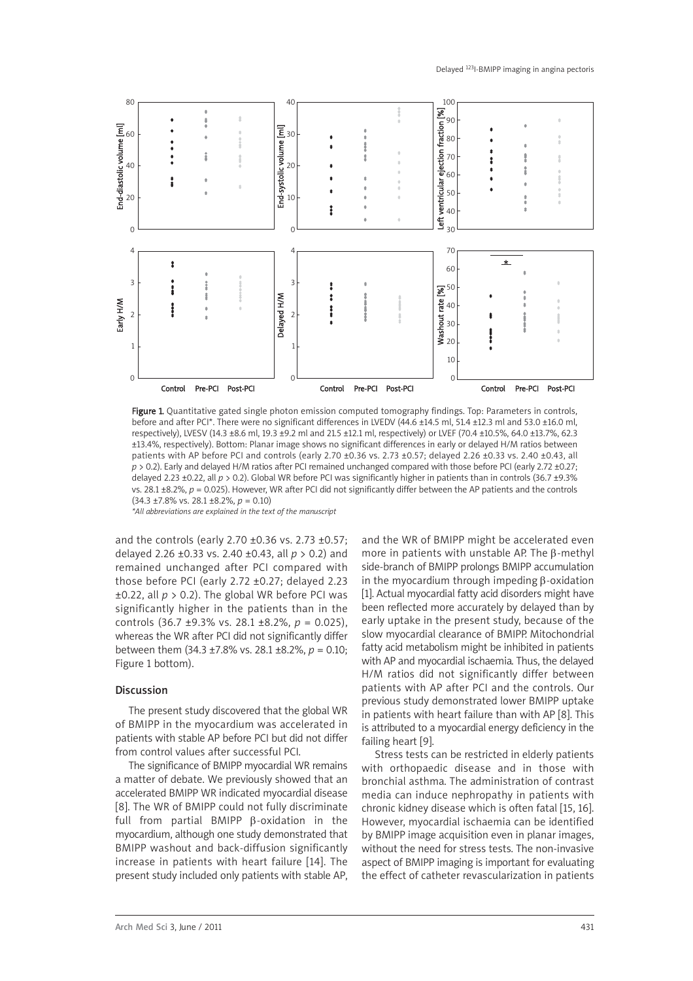

Figure 1. Quantitative gated single photon emission computed tomography findings. Top: Parameters in controls, before and after PCI\*. There were no significant differences in LVEDV (44.6 ±14.5 ml, 51.4 ±12.3 ml and 53.0 ±16.0 ml, respectively), LVESV (14.3 ±8.6 ml, 19.3 ±9.2 ml and 21.5 ±12.1 ml, respectively) or LVEF (70.4 ±10.5%, 64.0 ±13.7%, 62.3 ±13.4%, respectively). Bottom: Planar image shows no significant differences in early or delayed H/M ratios between patients with AP before PCI and controls (early 2.70 ±0.36 vs. 2.73 ±0.57; delayed 2.26 ±0.33 vs. 2.40 ±0.43, all *p* > 0.2). Early and delayed H/M ratios after PCI remained unchanged compared with those before PCI (early 2.72 ±0.27; delayed 2.23 ±0.22, all *p* > 0.2). Global WR before PCI was significantly higher in patients than in controls (36.7 ±9.3% vs. 28.1  $\pm$ 8.2%,  $p = 0.025$ ). However, WR after PCI did not significantly differ between the AP patients and the controls (34.3 ±7.8% vs. 28.1 ±8.2%, *p* = 0.10)

*\*All abbreviations are explained in the text of the manuscript*

and the controls (early 2.70 ±0.36 vs. 2.73 ±0.57; delayed 2.26 ±0.33 vs. 2.40 ±0.43, all *p* > 0.2) and remained unchanged after PCI compared with those before PCI (early 2.72 ±0.27; delayed 2.23  $\pm$ 0.22, all  $p > 0.2$ ). The global WR before PCI was significantly higher in the patients than in the controls (36.7 ±9.3% vs. 28.1 ±8.2%, *p* = 0.025), whereas the WR after PCI did not significantly differ between them (34.3 ±7.8% vs. 28.1 ±8.2%, *p* = 0.10; Figure 1 bottom).

# Discussion

The present study discovered that the global WR of BMIPP in the myocardium was accelerated in patients with stable AP before PCI but did not differ from control values after successful PCI.

The significance of BMIPP myocardial WR remains a matter of debate. We previously showed that an accelerated BMIPP WR indicated myocardial disease [8]. The WR of BMIPP could not fully discriminate full from partial BMIPP β-oxidation in the myocardium, although one study demonstrated that BMIPP washout and back-diffusion significantly increase in patients with heart failure [14]. The present study included only patients with stable AP,

and the WR of BMIPP might be accelerated even more in patients with unstable AP. The β-methyl side-branch of BMIPP prolongs BMIPP accumulation in the myocardium through impeding β-oxidation [1]. Actual myocardial fatty acid disorders might have been reflected more accurately by delayed than by early uptake in the present study, because of the slow myocardial clearance of BMIPP. Mitochondrial fatty acid metabolism might be inhibited in patients with AP and myocardial ischaemia. Thus, the delayed H/M ratios did not significantly differ between patients with AP after PCI and the controls. Our previous study demonstrated lower BMIPP uptake in patients with heart failure than with AP [8]. This is attributed to a myocardial energy deficiency in the failing heart [9].

Stress tests can be restricted in elderly patients with orthopaedic disease and in those with bronchial asthma. The administration of contrast media can induce nephropathy in patients with chronic kidney disease which is often fatal [15, 16]. However, myocardial ischaemia can be identified by BMIPP image acquisition even in planar images, without the need for stress tests. The non-invasive aspect of BMIPP imaging is important for evaluating the effect of catheter revascularization in patients